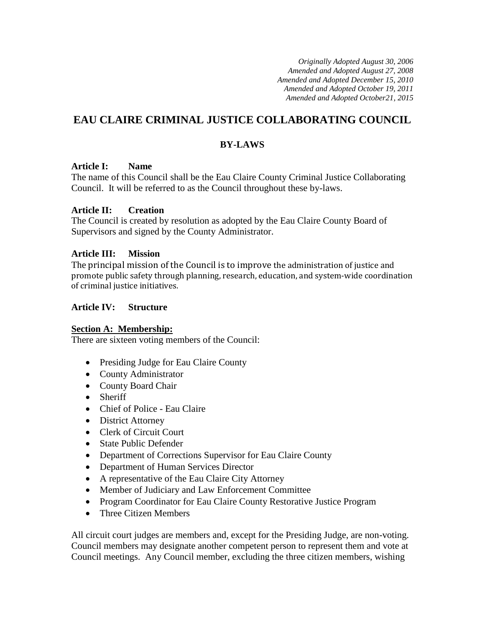*Originally Adopted August 30, 2006 Amended and Adopted August 27, 2008 Amended and Adopted December 15, 2010 Amended and Adopted October 19, 2011 Amended and Adopted October21, 2015*

# **EAU CLAIRE CRIMINAL JUSTICE COLLABORATING COUNCIL**

# **BY-LAWS**

### **Article I: Name**

The name of this Council shall be the Eau Claire County Criminal Justice Collaborating Council. It will be referred to as the Council throughout these by-laws.

### **Article II: Creation**

The Council is created by resolution as adopted by the Eau Claire County Board of Supervisors and signed by the County Administrator.

### **Article III: Mission**

The principal mission of the Council is to improve the administration of justice and promote public safety through planning, research, education, and system-wide coordination of criminal justice initiatives.

### **Article IV: Structure**

# **Section A: Membership:**

There are sixteen voting members of the Council:

- Presiding Judge for Eau Claire County
- County Administrator
- County Board Chair
- Sheriff
- Chief of Police Eau Claire
- District Attorney
- Clerk of Circuit Court
- State Public Defender
- Department of Corrections Supervisor for Eau Claire County
- Department of Human Services Director
- A representative of the Eau Claire City Attorney
- Member of Judiciary and Law Enforcement Committee
- Program Coordinator for Eau Claire County Restorative Justice Program
- Three Citizen Members

All circuit court judges are members and, except for the Presiding Judge, are non-voting. Council members may designate another competent person to represent them and vote at Council meetings. Any Council member, excluding the three citizen members, wishing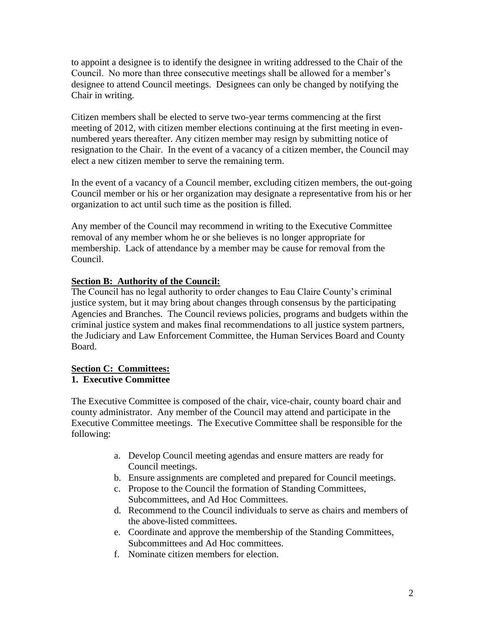to appoint a designee is to identify the designee in writing addressed to the Chair of the Council. No more than three consecutive meetings shall be allowed for a member's designee to attend Council meetings. Designees can only be changed by notifying the Chair in writing.

Citizen members shall be elected to serve two-year terms commencing at the first meeting of 2012, with citizen member elections continuing at the first meeting in evennumbered years thereafter. Any citizen member may resign by submitting notice of resignation to the Chair. In the event of a vacancy of a citizen member, the Council may elect a new citizen member to serve the remaining term.

In the event of a vacancy of a Council member, excluding citizen members, the out-going Council member or his or her organization may designate a representative from his or her organization to act until such time as the position is filled.

Any member of the Council may recommend in writing to the Executive Committee removal of any member whom he or she believes is no longer appropriate for membership. Lack of attendance by a member may be cause for removal from the Council.

### **Section B: Authority of the Council:**

The Council has no legal authority to order changes to Eau Claire County's criminal justice system, but it may bring about changes through consensus by the participating Agencies and Branches. The Council reviews policies, programs and budgets within the criminal justice system and makes final recommendations to all justice system partners, the Judiciary and Law Enforcement Committee, the Human Services Board and County Board.

#### **Section C: Committees: 1. Executive Committee**

The Executive Committee is composed of the chair, vice-chair, county board chair and county administrator. Any member of the Council may attend and participate in the Executive Committee meetings. The Executive Committee shall be responsible for the following:

- a. Develop Council meeting agendas and ensure matters are ready for Council meetings.
- b. Ensure assignments are completed and prepared for Council meetings.
- c. Propose to the Council the formation of Standing Committees, Subcommittees, and Ad Hoc Committees.
- d. Recommend to the Council individuals to serve as chairs and members of the above-listed committees.
- e. Coordinate and approve the membership of the Standing Committees, Subcommittees and Ad Hoc committees.
- f. Nominate citizen members for election.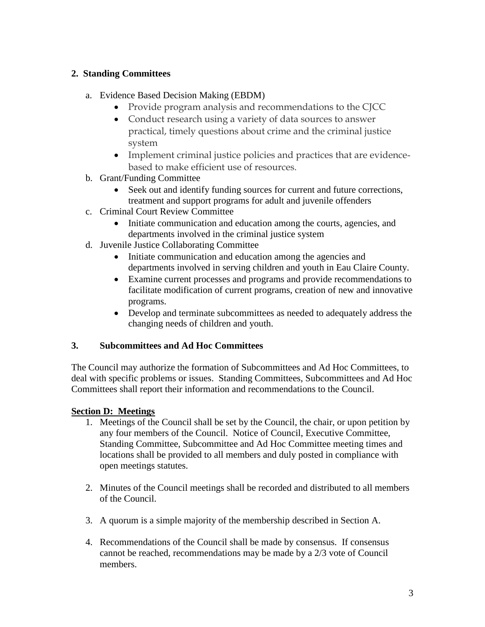# **2. Standing Committees**

- a. Evidence Based Decision Making (EBDM)
	- Provide program analysis and recommendations to the CJCC
	- Conduct research using a variety of data sources to answer practical, timely questions about crime and the criminal justice system
	- Implement criminal justice policies and practices that are evidencebased to make efficient use of resources.
- b. Grant/Funding Committee
	- Seek out and identify funding sources for current and future corrections, treatment and support programs for adult and juvenile offenders
- c. Criminal Court Review Committee
	- Initiate communication and education among the courts, agencies, and departments involved in the criminal justice system
- d. Juvenile Justice Collaborating Committee
	- Initiate communication and education among the agencies and departments involved in serving children and youth in Eau Claire County.
	- Examine current processes and programs and provide recommendations to facilitate modification of current programs, creation of new and innovative programs.
	- Develop and terminate subcommittees as needed to adequately address the changing needs of children and youth.

# **3. Subcommittees and Ad Hoc Committees**

The Council may authorize the formation of Subcommittees and Ad Hoc Committees, to deal with specific problems or issues. Standing Committees, Subcommittees and Ad Hoc Committees shall report their information and recommendations to the Council.

# **Section D: Meetings**

- 1. Meetings of the Council shall be set by the Council, the chair, or upon petition by any four members of the Council. Notice of Council, Executive Committee, Standing Committee, Subcommittee and Ad Hoc Committee meeting times and locations shall be provided to all members and duly posted in compliance with open meetings statutes.
- 2. Minutes of the Council meetings shall be recorded and distributed to all members of the Council.
- 3. A quorum is a simple majority of the membership described in Section A.
- 4. Recommendations of the Council shall be made by consensus. If consensus cannot be reached, recommendations may be made by a 2/3 vote of Council members.